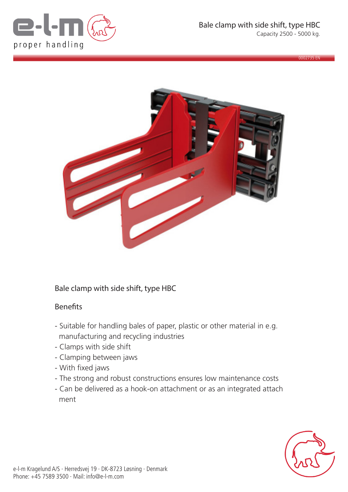

0002735 EN



## Bale clamp with side shift, type HBC

## Benefits

- Suitable for handling bales of paper, plastic or other material in e.g. manufacturing and recycling industries
- Clamps with side shift
- Clamping between jaws
- With fixed jaws
- The strong and robust constructions ensures low maintenance costs
- Can be delivered as a hook-on attachment or as an integrated attach ment